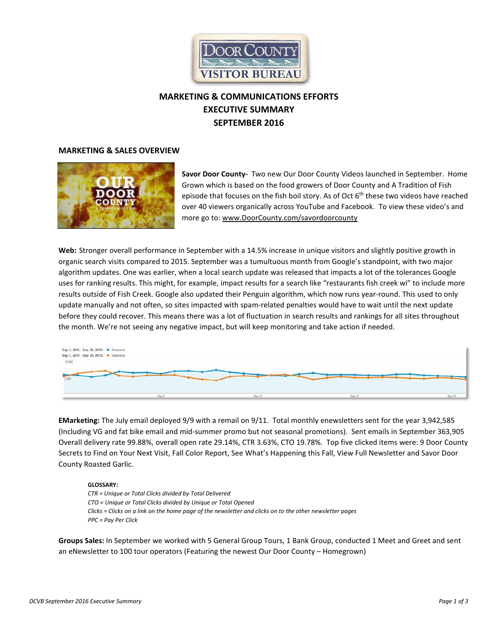

# **MARKETING & COMMUNICATIONS EFFORTS EXECUTIVE SUMMARY SEPTEMBER 2016**

#### **MARKETING & SALES OVERVIEW**



**Savor Door County-** Two new Our Door County Videos launched in September. Home Grown which is based on the food growers of Door County and A Tradition of Fish episode that focuses on the fish boil story. As of Oct  $6<sup>th</sup>$  these two videos have reached over 40 viewers organically across YouTube and Facebook. To view these video's and more go to[: www.DoorCounty.com/savordoorcounty](http://www.doorcounty.com/savordoorcounty)

**Web:** Stronger overall performance in September with a 14.5% increase in unique visitors and slightly positive growth in organic search visits compared to 2015. September was a tumultuous month from Google's standpoint, with two major algorithm updates. One was earlier, when a local search update was released that impacts a lot of the tolerances Google uses for ranking results. This might, for example, impact results for a search like "restaurants fish creek wi" to include more results outside of Fish Creek. Google also updated their Penguin algorithm, which now runs year-round. This used to only update manually and not often, so sites impacted with spam-related penalties would have to wait until the next update before they could recover. This means there was a lot of fluctuation in search results and rankings for all sites throughout the month. We're not seeing any negative impact, but will keep monitoring and take action if needed.



**EMarketing:** The July email deployed 9/9 with a remail on 9/11. Total monthly enewsletters sent for the year 3,942,585 (Including VG and fat bike email and mid-summer promo but not seasonal promotions). Sent emails in September 363,905 Overall delivery rate 99.88%, overall open rate 29.14%, CTR 3.63%, CTO 19.78%. Top five clicked items were: 9 Door County Secrets to Find on Your Next Visit, Fall Color Report, See What's Happening this Fall, View Full Newsletter and Savor Door County Roasted Garlic.

#### **GLOSSARY:**

*CTR = Unique or Total Clicks divided by Total Delivered CTO = Unique or Total Clicks divided by Unique or Total Opened Clicks = Clicks on a link on the home page of the newsletter and clicks on to the other newsletter pages PPC = Pay Per Click* 

**Groups Sales:** In September we worked with 5 General Group Tours, 1 Bank Group, conducted 1 Meet and Greet and sent an eNewsletter to 100 tour operators (Featuring the newest Our Door County – Homegrown)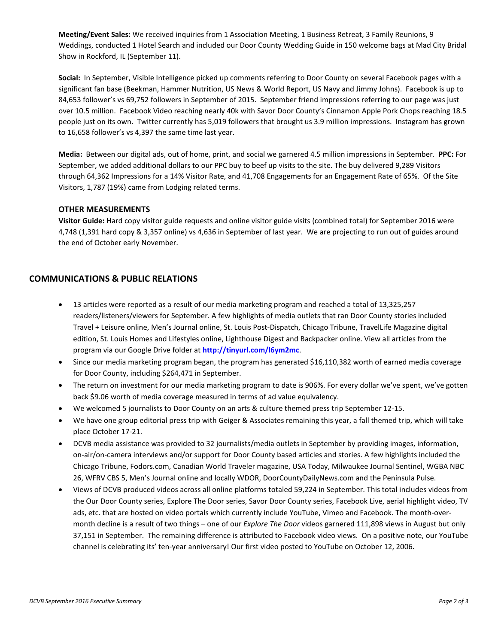**Meeting/Event Sales:** We received inquiries from 1 Association Meeting, 1 Business Retreat, 3 Family Reunions, 9 Weddings, conducted 1 Hotel Search and included our Door County Wedding Guide in 150 welcome bags at Mad City Bridal Show in Rockford, IL (September 11).

**Social:** In September, Visible Intelligence picked up comments referring to Door County on several Facebook pages with a significant fan base (Beekman, Hammer Nutrition, US News & World Report, US Navy and Jimmy Johns). Facebook is up to 84,653 follower's vs 69,752 followers in September of 2015. September friend impressions referring to our page was just over 10.5 million. Facebook Video reaching nearly 40k with Savor Door County's Cinnamon Apple Pork Chops reaching 18.5 people just on its own. Twitter currently has 5,019 followers that brought us 3.9 million impressions. Instagram has grown to 16,658 follower's vs 4,397 the same time last year.

**Media:** Between our digital ads, out of home, print, and social we garnered 4.5 million impressions in September. **PPC:** For September, we added additional dollars to our PPC buy to beef up visits to the site. The buy delivered 9,289 Visitors through 64,362 Impressions for a 14% Visitor Rate, and 41,708 Engagements for an Engagement Rate of 65%. Of the Site Visitors, 1,787 (19%) came from Lodging related terms.

### **OTHER MEASUREMENTS**

**Visitor Guide:** Hard copy visitor guide requests and online visitor guide visits (combined total) for September 2016 were 4,748 (1,391 hard copy & 3,357 online) vs 4,636 in September of last year. We are projecting to run out of guides around the end of October early November.

# **COMMUNICATIONS & PUBLIC RELATIONS**

- 13 articles were reported as a result of our media marketing program and reached a total of 13,325,257 readers/listeners/viewers for September. A few highlights of media outlets that ran Door County stories included Travel + Leisure online, Men's Journal online, St. Louis Post-Dispatch, Chicago Tribune, TravelLife Magazine digital edition, St. Louis Homes and Lifestyles online, Lighthouse Digest and Backpacker online. View all articles from the program via our Google Drive folder at **<http://tinyurl.com/l6ym2mc>**.
- Since our media marketing program began, the program has generated \$16,110,382 worth of earned media coverage for Door County, including \$264,471 in September.
- The return on investment for our media marketing program to date is 906%. For every dollar we've spent, we've gotten back \$9.06 worth of media coverage measured in terms of ad value equivalency.
- We welcomed 5 journalists to Door County on an arts & culture themed press trip September 12-15.
- We have one group editorial press trip with Geiger & Associates remaining this year, a fall themed trip, which will take place October 17-21.
- DCVB media assistance was provided to 32 journalists/media outlets in September by providing images, information, on-air/on-camera interviews and/or support for Door County based articles and stories. A few highlights included the Chicago Tribune, Fodors.com, Canadian World Traveler magazine, USA Today, Milwaukee Journal Sentinel, WGBA NBC 26, WFRV CBS 5, Men's Journal online and locally WDOR, DoorCountyDailyNews.com and the Peninsula Pulse.
- Views of DCVB produced videos across all online platforms totaled 59,224 in September. This total includes videos from the Our Door County series, Explore The Door series, Savor Door County series, Facebook Live, aerial highlight video, TV ads, etc. that are hosted on video portals which currently include YouTube, Vimeo and Facebook. The month-overmonth decline is a result of two things – one of our *Explore The Door* videos garnered 111,898 views in August but only 37,151 in September. The remaining difference is attributed to Facebook video views. On a positive note, our YouTube channel is celebrating its' ten-year anniversary! Our first video posted to YouTube on October 12, 2006.